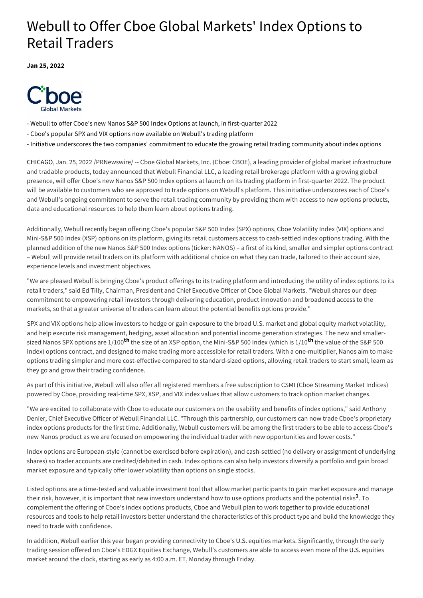# Webull to Offer Cboe Global Markets' Index Options to Retail Traders

**Jan 25, 2022**



- Webull to offer Cboe's new Nanos S&P 500 Index Options at launch, in first-quarter 2022
- Cboe's popular SPX and VIX options now available on Webull's trading platform
- Initiative underscores the two companies' commitment to educate the growing retail trading community about index options

CHICAGO, Jan. 25, 2022 /PRNewswire/ -- Cboe Global Markets, Inc. (Cboe: CBOE), a leading provider of global market infrastructure and tradable products, today announced that Webull Financial LLC, a leading retail brokerage platform with a growing global presence, will offer Cboe's new Nanos S&P 500 Index options at launch on its trading platform in first-quarter 2022. The product will be available to customers who are approved to trade options on Webull's platform. This initiative underscores each of Cboe's and Webull's ongoing commitment to serve the retail trading community by providing them with access to new options products, data and educational resources to help them learn about options trading.

Additionally, Webull recently began offering Cboe's popular S&P 500 Index (SPX) options, Cboe Volatility Index (VIX) options and Mini-S&P 500 Index (XSP) options on its platform, giving its retail customers access to cash-settled index options trading. With the planned addition of the new Nanos S&P 500 Index options (ticker: NANOS) – a first of its kind, smaller and simpler options contract – Webull will provide retail traders on its platform with additional choice on what they can trade, tailored to their account size, experience levels and investment objectives.

"We are pleased Webull is bringing Cboe's product offerings to its trading platform and introducing the utility of index options to its retail traders," said Ed Tilly, Chairman, President and Chief Executive Officer of Cboe Global Markets. "Webull shares our deep commitment to empowering retail investors through delivering education, product innovation and broadened access to the markets, so that a greater universe of traders can learn about the potential benefits options provide."

SPX and VIX options help allow investors to hedge or gain exposure to the broad U.S. market and global equity market volatility, and help execute risk management, hedging, asset allocation and potential income generation strategies. The new and smallersized Nanos SPX options are 1/100<sup>th</sup> the size of an XSP option, the Mini-S&P 500 Index (which is 1/10<sup>th</sup> the value of the S&P 500 Index) options contract, and designed to make trading more accessible for retail traders. With a one-multiplier, Nanos aim to make options trading simpler and more cost-effective compared to standard-sized options, allowing retail traders to start small, learn as they go and grow their trading confidence.

As part of this initiative, Webull will also offer all registered members a free subscription to CSMI (Cboe Streaming Market Indices) powered by Cboe, providing real-time SPX, XSP, and VIX index values that allow customers to track option market changes.

"We are excited to collaborate with Cboe to educate our customers on the usability and benefits of index options," said Anthony Denier, Chief Executive Officer of Webull Financial LLC. "Through this partnership, our customers can now trade Cboe's proprietary index options products for the first time. Additionally, Webull customers will be among the first traders to be able to access Cboe's new Nanos product as we are focused on empowering the individual trader with new opportunities and lower costs."

Index options are European-style (cannot be exercised before expiration), and cash-settled (no delivery or assignment of underlying shares) so trader accounts are credited/debited in cash. Index options can also help investors diversify a portfolio and gain broad market exposure and typically offer lower volatility than options on single stocks.

Listed options are a time-tested and valuable investment tool that allow market participants to gain market exposure and manage their risk, however, it is important that new investors understand how to use options products and the potential risks<sup>1</sup>. To complement the offering of Cboe's index options products, Cboe and Webull plan to work together to provide educational resources and tools to help retail investors better understand the characteristics of this product type and build the knowledge they need to trade with confidence.

In addition, Webull earlier this year began providing connectivity to Cboe's U.S. equities markets. Significantly, through the early trading session offered on Cboe's EDGX Equities Exchange, Webull's customers are able to access even more of the U.S. equities market around the clock, starting as early as 4:00 a.m. ET, Monday through Friday.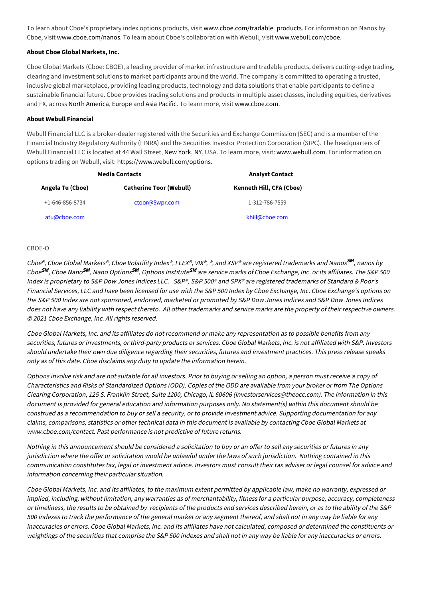To learn about Cboe's proprietary index options products, visit [www.cboe.com/tradable\\_products](https://c212.net/c/link/?t=0&l=en&o=3415121-1&h=1262420134&u=http%3A%2F%2Fwww.cboe.com%2Ftradable_products&a=www.cboe.com%2Ftradable_products). For information on Nanos by Cboe, visit [www.cboe.com/nanos.](https://c212.net/c/link/?t=0&l=en&o=3415121-1&h=928798519&u=http%3A%2F%2Fwww.cboe.com%2Fnanos&a=www.cboe.com%2Fnanos) To learn about Cboe's collaboration with Webull, visit [www.webull.com/cboe](https://c212.net/c/link/?t=0&l=en&o=3415121-1&h=2650186640&u=https%3A%2F%2Fwww.webull.com%2Fcboe&a=www.webull.com%2Fcboe).

## **About Cboe Global Markets, Inc.**

Cboe Global Markets (Cboe: CBOE), a leading provider of market infrastructure and tradable products, delivers cutting-edge trading, clearing and investment solutions to market participants around the world. The company is committed to operating a trusted, inclusive global marketplace, providing leading products, technology and data solutions that enable participants to define a sustainable financial future. Cboe provides trading solutions and products in multiple asset classes, including equities, derivatives and FX, across North America, Europe and Asia Pacific. To learn more, visit [www.cboe.com.](https://c212.net/c/link/?t=0&l=en&o=3415121-1&h=1829826642&u=http%3A%2F%2Fwww.cboe.com%2F&a=www.cboe.com)

### **About Webull Financial**

Webull Financial LLC is a broker-dealer registered with the Securities and Exchange Commission (SEC) and is a member of the Financial Industry Regulatory Authority (FINRA) and the Securities Investor Protection Corporation (SIPC). The headquarters of Webull Financial LLC is located at 44 Wall Street, New York, NY, USA. To learn more, visit: [www.webull.com.](https://c212.net/c/link/?t=0&l=en&o=3415121-1&h=3208146886&u=http%3A%2F%2Fwww.webull.com%2F&a=www.webull.com.) For information on options trading on Webull, visit: [https://www.webull.com/options](https://c212.net/c/link/?t=0&l=en&o=3415121-1&h=695240964&u=https%3A%2F%2Fwww.webull.com%2Foptions&a=https%3A%2F%2Fwww.webull.com%2Foptions).

| <b>Media Contacts</b>   |                                | <b>Analyst Contact</b>   |
|-------------------------|--------------------------------|--------------------------|
| Angela Tu (Cboe)        | <b>Catherine Toor (Webull)</b> | Kenneth Hill, CFA (Cboe) |
| $+1 - 646 - 856 - 8734$ | ctoor@5wpr.com                 | 1-312-786-7559           |
| atu@cboe.com            |                                | khill@cboe.com           |

#### CBOE-O

Cboe®, Cboe Global Markets®, Cboe Volatility Index®, FLEX®, VIX®, ®, and XSP® are registered trademarks and Nanos**<sup>SM</sup>,** nanos by  $\mathsf{C}$ boe Nano $\mathsf{S}^{\textsf{M}},$  Nano Options $\mathsf{S}^{\textsf{M}},$  Options Institute $\mathsf{S}^{\textsf{M}}$  are service marks of Cboe Exchange, Inc. or its affiliates. The S&P 500  $\,$ Index is proprietary to S&P Dow Jones Indices LLC. S&P®, S&P 500® and SPX® are registered trademarks of Standard & Poor's Financial Services, LLC and have been licensed for use with the S&P 500 Index by Cboe Exchange, Inc. Cboe Exchange's options on the S&P 500 Index are not sponsored, endorsed, marketed or promoted by S&P Dow Jones Indices and S&P Dow Jones Indices does not have any liability with respect thereto. All other trademarks and service marks are the property of their respective owners. © 2021 Cboe Exchange, Inc. All rights reserved.

Cboe Global Markets, Inc. and its affiliates do not recommend or make any representation as to possible benefits from any securities, futures or investments, or third-party products or services. Cboe Global Markets, Inc. is not affiliated with S&P. Investors should undertake their own due diligence regarding their securities, futures and investment practices. This press release speaks only as of this date. Cboe disclaims any duty to update the information herein.

Options involve risk and are not suitable for all investors. Prior to buying or selling an option, a person must receive a copy of Characteristics and Risks of Standardized Options (ODD). Copies of the ODD are available from your broker or from The Options Clearing Corporation, 125 S. Franklin Street, Suite 1200, Chicago, IL 60606 [\(investorservices@theocc.com\)](mailto:investorservices@theocc.com). The information in this document is provided for general education and information purposes only. No statement(s) within this document should be construed as a recommendation to buy or sell a security, or to provide investment advice. Supporting documentation for any claims, comparisons, statistics or other technical data in this document is available by contacting Cboe Global Markets at [www.cboe.com/contact](https://c212.net/c/link/?t=0&l=en&o=3415121-1&h=780999559&u=http%3A%2F%2Fwww.cboe.com%2Fcontact&a=www.cboe.com%2Fcontact). Past performance is not predictive of future returns.

Nothing in this announcement should be considered a solicitation to buy or an offer to sell any securities or futures in any jurisdiction where the offer or solicitation would be unlawful under the laws of such jurisdiction. Nothing contained in this communication constitutes tax, legal or investment advice. Investors must consult their tax adviser or legal counsel for advice and information concerning their particular situation.

Cboe Global Markets, Inc. and its affiliates, to the maximum extent permitted by applicable law, make no warranty, expressed or implied, including, without limitation, any warranties as of merchantability, fitness for a particular purpose, accuracy, completeness or timeliness, the results to be obtained by recipients of the products and services described herein, or as to the ability of the S&P 500 indexes to track the performance of the general market or any segment thereof, and shall not in any way be liable for any inaccuracies or errors. Cboe Global Markets, Inc. and its affiliates have not calculated, composed or determined the constituents or weightings of the securities that comprise the S&P 500 indexes and shall not in any way be liable for any inaccuracies or errors.